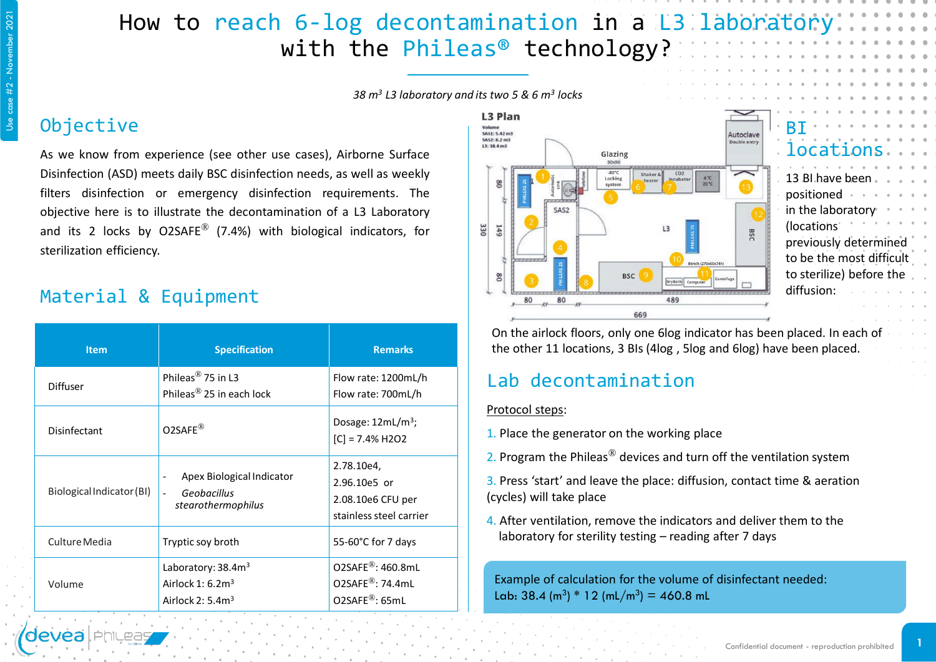## How to reach 6-log decontamination in a L3 laborator with the Phileas<sup>®</sup> technology?

*38 m<sup>3</sup> L3 laboratory and its two 5 & 6 m<sup>3</sup> locks*

#### **Objective**

As we know from experience (see other use cases), Airborne Surface Disinfection (ASD) meets daily BSC disinfection needs, as well as weekly filters disinfection or emergency disinfection requirements. The objective here is to illustrate the decontamination of a L3 Laboratory and its 2 locks by O2SAFE<sup>®</sup> (7.4%) with biological indicators, for sterilization efficiency.

### Material & Equipment

| <b>Item</b>               | <b>Specification</b>                                                     | <b>Remarks</b>                                                                                |  |
|---------------------------|--------------------------------------------------------------------------|-----------------------------------------------------------------------------------------------|--|
| <b>Diffuser</b>           | Phileas <sup>®</sup> 75 in L3<br>Phileas <sup>®</sup> 25 in each lock    | Flow rate: 1200mL/h<br>Flow rate: 700mL/h                                                     |  |
| Disinfectant              | $O2SAFE^{\circledR}$                                                     | Dosage: $12mL/m^3$ ;<br>$[C] = 7.4\%$ H2O2                                                    |  |
| Biological Indicator (BI) | Apex Biological Indicator<br>Geobacillus<br>stearothermophilus           | 2.78.10e4,<br>2.96.10e5 or<br>2.08.10e6 CFU per<br>stainless steel carrier                    |  |
| Culture Media             | Tryptic soy broth                                                        | 55-60°C for 7 days                                                                            |  |
| Volume                    | Laboratory: 38.4m <sup>3</sup><br>Airlock 1: $6.23$<br>Airlock 2: $5.43$ | O2SAFE <sup>®</sup> : 460.8mL<br>$O2SARE^{\circledR}$ : 74.4mL<br>$O2SARE^{\circledR}$ : 65mL |  |



| locations.               |  |  |
|--------------------------|--|--|
|                          |  |  |
| 13 Bl.have been.         |  |  |
| positioned               |  |  |
| in the laboratory        |  |  |
| (locations)              |  |  |
| previously determined    |  |  |
| to be the most difficult |  |  |
| to sterilize) before the |  |  |
| diffusion:               |  |  |
|                          |  |  |

On the airlock floors, only one 6log indicator has been placed. In each of the other 11 locations, 3 BIs (4log , 5log and 6log) have been placed.

#### Lab decontamination

#### Protocol steps:

- 1. Place the generator on the working place
- 2. Program the Phileas<sup>®</sup> devices and turn off the ventilation system
- 3. Press 'start' and leave the place: diffusion, contact time & aeration (cycles) will take place
- 4. After ventilation, remove the indicators and deliver them to the laboratory for sterility testing – reading after 7 days

Example of calculation for the volume of disinfectant needed: Lab:  $38.4 \, \text{(m}^3) * 12 \, \text{(mL/m}^3) = 460.8 \, \text{mL}$